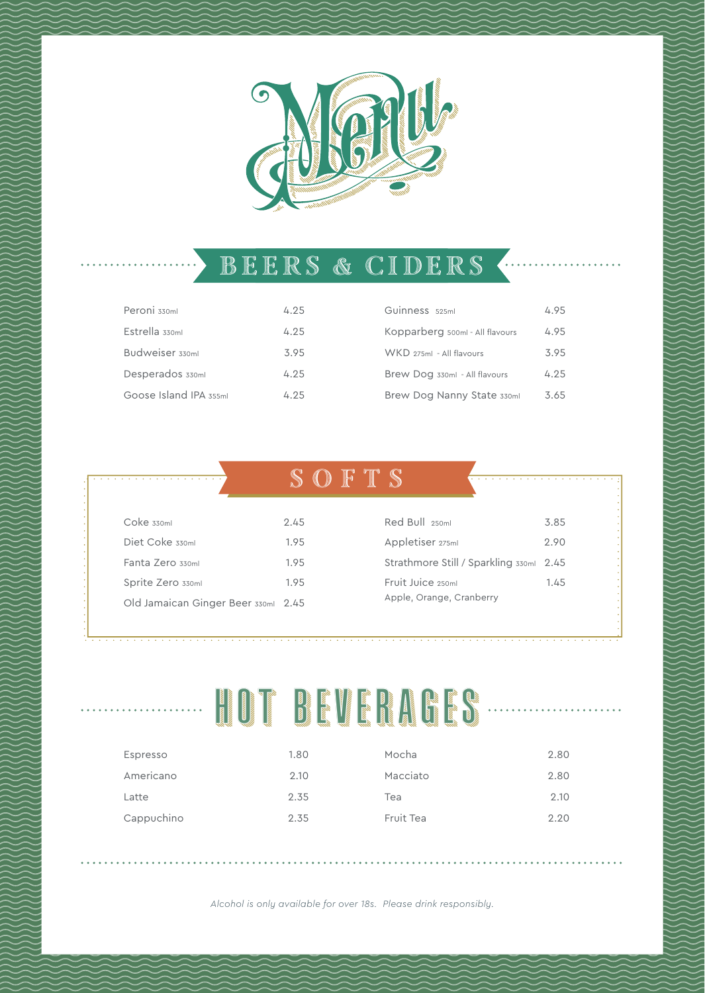

#### BEERS & CIDERS +

| Peroni 330ml           | 4.25 | Guinness 525ml                  | 4.95 |
|------------------------|------|---------------------------------|------|
| Estrella 330ml         | 4.25 | Kopparberg 500ml - All flavours | 4.95 |
| Budweiser 330ml        | 3.95 | WKD 275ml - All flavours        | 3.95 |
| Desperados 330ml       | 4.25 | Brew Dog 330ml - All flavours   | 4.25 |
| Goose Island IPA 355ml | 4.25 | Brew Dog Nanny State 330ml      | 3.65 |

|                                     | $\mathbb{R}$<br>−D |                    |
|-------------------------------------|--------------------|--------------------|
|                                     |                    |                    |
| $Coke$ $330ml$                      | 2.45               | Red Bull 250ml     |
| Diet Coke 330ml                     | 1.95               | Appletiser 275ml   |
| Fanta Zero 330ml                    | 1.95               | Strathmore Still / |
| Sprite Zero 330ml                   | 1.95               | Fruit Juice 250ml  |
| Old Jamaican Ginger Beer 330ml 2.45 |                    | Apple, Orange, Cra |

| Red Bull 250ml                                | 3.85 |
|-----------------------------------------------|------|
| Appletiser 275ml                              | 2.90 |
| Strathmore Still / Sparkling 330ml 2.45       |      |
| Fruit Juice 250ml<br>Apple, Orange, Cranberry | 1.45 |

# HOT BEVERAGES

| Espresso   | 1.80 | Mocha     | 2.80 |
|------------|------|-----------|------|
| Americano  | 2.10 | Macciato  | 2.80 |
| Latte      | 2.35 | Tea       | 2.10 |
| Cappuchino | 2.35 | Fruit Tea | 2.20 |

*Alcohol is only available for over 18s. Please drink responsibly.*